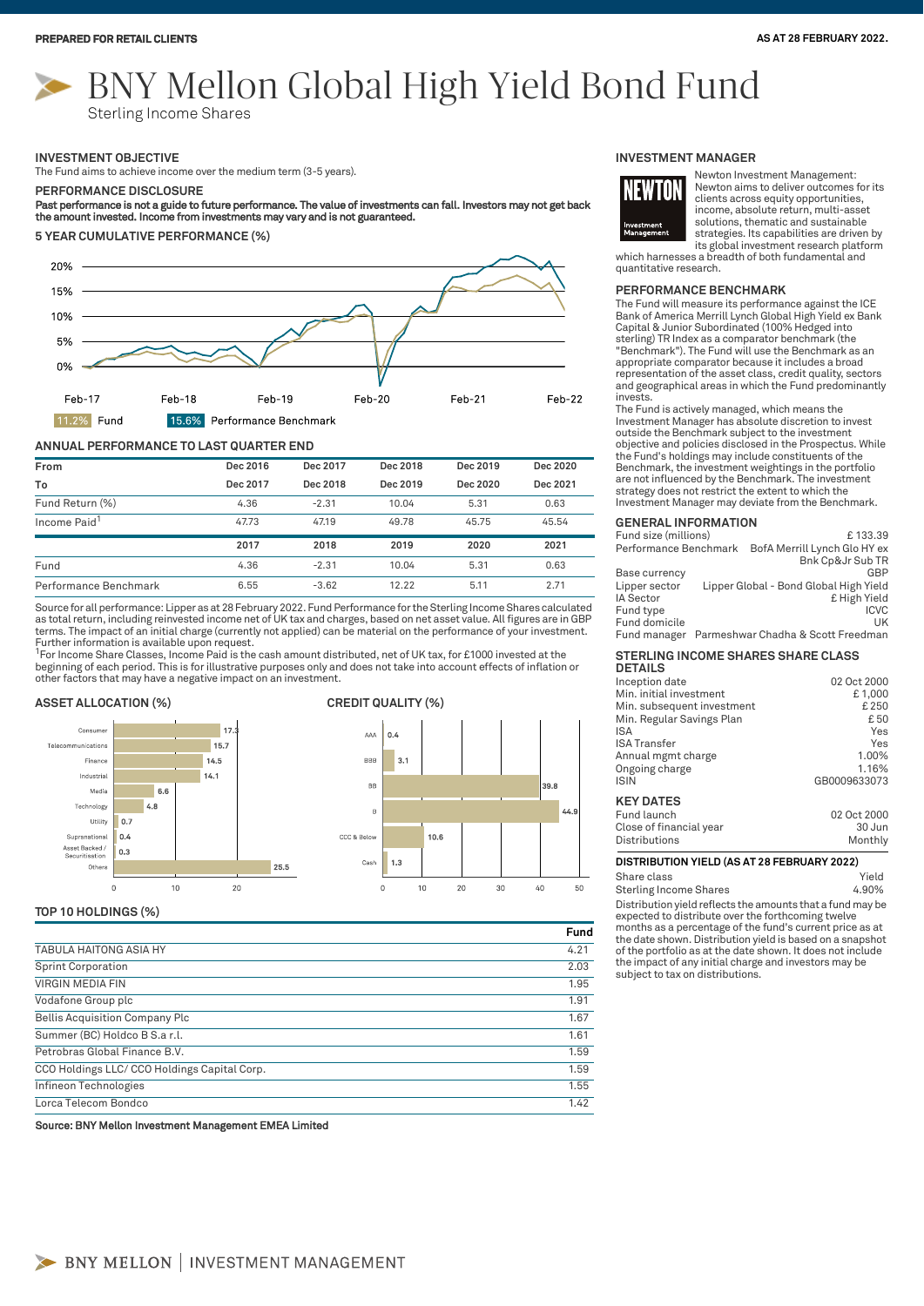# BNY Mellon Global High Yield Bond Fund

Sterling Income Shares

#### **INVESTMENT OBJECTIVE**

The Fund aims to achieve income over the medium term (3-5 years).

#### **PERFORMANCE DISCLOSURE**

#### Past performance is not a guide to future performance. The value of investments can fall. Investors may not get back the amount invested. Income from investments may vary and is not guaranteed.

**5 YEAR CUMULATIVE PERFORMANCE (%)**



#### **ANNUAL PERFORMANCE TO LAST QUARTER END**

| From                     | Dec 2016 | Dec 2017 | Dec 2018 | Dec 2019 | Dec 2020 |
|--------------------------|----------|----------|----------|----------|----------|
| To                       | Dec 2017 | Dec 2018 | Dec 2019 | Dec 2020 | Dec 2021 |
| Fund Return (%)          | 4.36     | $-2.31$  | 10.04    | 5.31     | 0.63     |
| Income Paid <sup>1</sup> | 47.73    | 47.19    | 49.78    | 45.75    | 45.54    |
|                          | 2017     | 2018     | 2019     | 2020     | 2021     |
| Fund                     | 4.36     | $-2.31$  | 10.04    | 5.31     | 0.63     |
| Performance Benchmark    | 6.55     | $-3.62$  | 12.22    | 5.11     | 2.71     |

Source for all performance: Lipper as at 28 February 2022. Fund Performance for the Sterling Income Shares calculated as total return, including reinvested income net of UK tax and charges, based on net asset value. All figures are in GBP<br>terms. The impact of an initial charge (currently not applied) can be material on the performance of Further information is available upon request.

<sup>1</sup>For Income Share Classes, Income Paid is the cash amount distributed, net of UK tax, for £1000 invested at the<br>beginning of each period. This is for illustrative purposes only and does not take into account effects of i other factors that may have a negative impact on an investment.

### **ASSET ALLOCATION (%) CREDIT QUALITY (%)**





#### **TOP 10 HOLDINGS (%)**

|                                             | Fund |
|---------------------------------------------|------|
| <b>TABULA HAITONG ASIA HY</b>               | 4.21 |
| <b>Sprint Corporation</b>                   | 2.03 |
| <b>VIRGIN MEDIA FIN</b>                     | 1.95 |
| Vodafone Group plc                          | 1.91 |
| <b>Bellis Acquisition Company Plc</b>       | 1.67 |
| Summer (BC) Holdco B S.a r.l.               | 1.61 |
| Petrobras Global Finance B.V.               | 1.59 |
| CCO Holdings LLC/CCO Holdings Capital Corp. | 1.59 |
| Infineon Technologies                       | 1.55 |
| Lorca Telecom Bondco                        | 1.42 |

Source: BNY Mellon Investment Management EMEA Limited

#### **INVESTMENT MANAGER**



Newton Investment Management: Newton aims to deliver outcomes for its clients across equity opportunities, income, absolute return, multi-asset solutions, thematic and sustainable strategies. Its capabilities are driven by its global investment research platform

which harnesses a breadth of both fundamental and quantitative research.

#### **PERFORMANCE BENCHMARK**

The Fund will measure its performance against the ICE Bank of America Merrill Lynch Global High Yield ex Bank Capital & Junior Subordinated (100% Hedged into sterling) TR Index as a comparator benchmark (the "Benchmark"). The Fund will use the Benchmark as an appropriate comparator because it includes a broad representation of the asset class, credit quality, sectors and geographical areas in which the Fund predominantly invests.

The Fund is actively managed, which means the Investment Manager has absolute discretion to invest outside the Benchmark subject to the investment objective and policies disclosed in the Prospectus. While the Fund's holdings may include constituents of the Benchmark, the investment weightings in the portfolio are not influenced by the Benchmark. The investment strategy does not restrict the extent to which the Investment Manager may deviate from the Benchmark.

#### **GENERAL INFORMATION**

| Fund size (millions)  | £133.39                                |
|-----------------------|----------------------------------------|
| Performance Benchmark | BofA Merrill Lynch Glo HY ex           |
|                       | Bnk Cp&Jr Sub TR                       |
| Base currency         | GBP                                    |
| Lipper sector         | Lipper Global - Bond Global High Yield |
| IA Sector             | £ High Yield                           |
| Fund type             | <b>ICVC</b>                            |
| Fund domicile         | UK                                     |
| Fund manager          | Parmeshwar Chadha & Scott Freedman     |

## **STERLING INCOME SHARES SHARE CLASS**

| <b>DETAILS</b>             |              |
|----------------------------|--------------|
| Inception date             | 02 Oct 2000  |
| Min. initial investment    | £1,000       |
| Min. subsequent investment | £250         |
| Min. Regular Savings Plan  | £ 50         |
| ISA                        | Yes          |
| <b>ISA Transfer</b>        | Yes          |
| Annual mgmt charge         | 1.00%        |
| Ongoing charge             | 1.16%        |
| <b>ISIN</b>                | GB0009633073 |
| <b>KEY DATES</b>           |              |

| Fund launch             | 02 Oct 2000 |
|-------------------------|-------------|
| Close of financial year | 30 Jun      |
| Distributions           | Monthly     |

#### **DISTRIBUTION YIELD (AS AT 28 FEBRUARY 2022)**

Distribution yield reflects the amounts that a fund may be Share class **Yield** Sterling Income Shares 4.90%

expected to distribute over the forthcoming twelve months as a percentage of the fund's current price as at the date shown. Distribution yield is based on a snapshot of the portfolio as at the date shown. It does not include the impact of any initial charge and investors may be subject to tax on distributions.